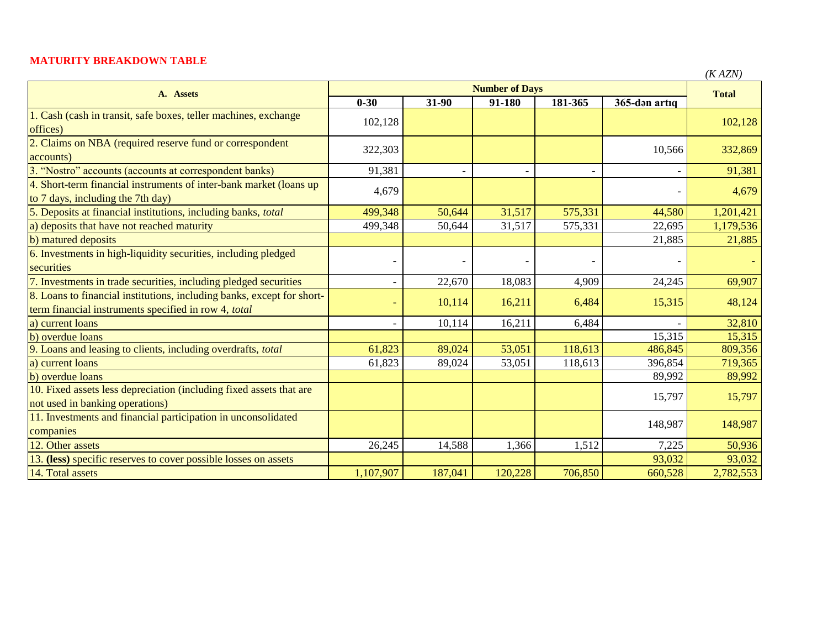## **MATURITY BREAKDOWN TABLE**

|                                                                                                                                | <b>Number of Days</b> |         |         |         |               | (IVALIV)     |
|--------------------------------------------------------------------------------------------------------------------------------|-----------------------|---------|---------|---------|---------------|--------------|
| A. Assets                                                                                                                      | $0 - 30$              | 31-90   | 91-180  | 181-365 | 365-dən artıq | <b>Total</b> |
| 1. Cash (cash in transit, safe boxes, teller machines, exchange<br>offices)                                                    | 102,128               |         |         |         |               | 102,128      |
| 2. Claims on NBA (required reserve fund or correspondent<br>accounts)                                                          | 322,303               |         |         |         | 10,566        | 332,869      |
| 3. "Nostro" accounts (accounts at correspondent banks)                                                                         | 91,381                |         |         |         |               | 91,381       |
| 4. Short-term financial instruments of inter-bank market (loans up<br>to 7 days, including the 7th day)                        | 4,679                 |         |         |         |               | 4,679        |
| 5. Deposits at financial institutions, including banks, total                                                                  | 499,348               | 50,644  | 31,517  | 575,331 | 44,580        | 1,201,421    |
| a) deposits that have not reached maturity                                                                                     | 499,348               | 50,644  | 31,517  | 575,331 | 22,695        | 1,179,536    |
| b) matured deposits                                                                                                            |                       |         |         |         | 21,885        | 21,885       |
| 6. Investments in high-liquidity securities, including pledged<br>securities                                                   |                       |         |         |         |               |              |
| 7. Investments in trade securities, including pledged securities                                                               |                       | 22,670  | 18,083  | 4,909   | 24,245        | 69,907       |
| 8. Loans to financial institutions, including banks, except for short-<br>term financial instruments specified in row 4, total |                       | 10,114  | 16,211  | 6,484   | 15,315        | 48,124       |
| a) current loans                                                                                                               |                       | 10,114  | 16,211  | 6,484   |               | 32,810       |
| b) overdue loans                                                                                                               |                       |         |         |         | 15,315        | 15,315       |
| 9. Loans and leasing to clients, including overdrafts, total                                                                   | 61,823                | 89,024  | 53,051  | 118,613 | 486,845       | 809,356      |
| a) current loans                                                                                                               | 61,823                | 89,024  | 53,051  | 118,613 | 396,854       | 719,365      |
| b) overdue loans                                                                                                               |                       |         |         |         | 89,992        | 89,992       |
| 10. Fixed assets less depreciation (including fixed assets that are<br>not used in banking operations)                         |                       |         |         |         | 15,797        | 15,797       |
| 11. Investments and financial participation in unconsolidated<br>companies                                                     |                       |         |         |         | 148,987       | 148,987      |
| 12. Other assets                                                                                                               | 26,245                | 14,588  | 1,366   | 1,512   | 7,225         | 50,936       |
| 13. (less) specific reserves to cover possible losses on assets                                                                |                       |         |         |         | 93,032        | 93,032       |
| 14. Total assets                                                                                                               | 1,107,907             | 187,041 | 120,228 | 706,850 | 660,528       | 2,782,553    |

*(K AZN)*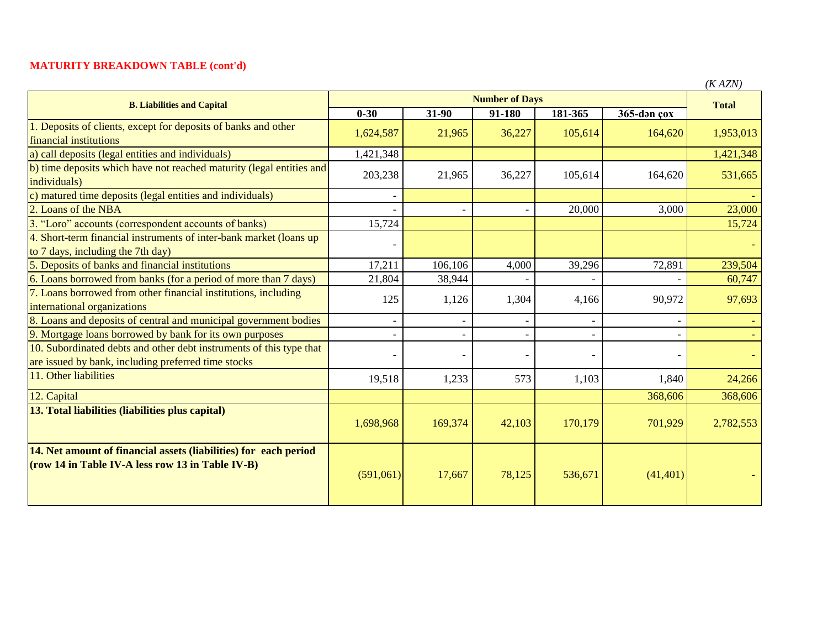## **MATURITY BREAKDOWN TABLE (cont'd)**

| <b>B. Liabilities and Capital</b>                                                                                          | <b>Number of Days</b> |         |        |         |             | $($ $\Lambda$ $ALIV$ $)$<br><b>Total</b> |
|----------------------------------------------------------------------------------------------------------------------------|-----------------------|---------|--------|---------|-------------|------------------------------------------|
|                                                                                                                            | $0 - 30$              | 31-90   | 91-180 | 181-365 | 365-dən çox |                                          |
| 1. Deposits of clients, except for deposits of banks and other<br>financial institutions                                   | 1,624,587             | 21,965  | 36,227 | 105,614 | 164,620     | 1,953,013                                |
| a) call deposits (legal entities and individuals)                                                                          | 1,421,348             |         |        |         |             | 1,421,348                                |
| b) time deposits which have not reached maturity (legal entities and<br>individuals)                                       | 203,238               | 21,965  | 36,227 | 105,614 | 164,620     | 531,665                                  |
| c) matured time deposits (legal entities and individuals)                                                                  |                       |         |        |         |             |                                          |
| 2. Loans of the NBA                                                                                                        |                       |         |        | 20,000  | 3,000       | 23,000                                   |
| 3. "Loro" accounts (correspondent accounts of banks)                                                                       | 15,724                |         |        |         |             | 15,724                                   |
| 4. Short-term financial instruments of inter-bank market (loans up<br>to 7 days, including the 7th day)                    |                       |         |        |         |             |                                          |
| 5. Deposits of banks and financial institutions                                                                            | 17,211                | 106,106 | 4,000  | 39,296  | 72,891      | 239,504                                  |
| 6. Loans borrowed from banks (for a period of more than 7 days)                                                            | 21,804                | 38,944  |        |         |             | 60,747                                   |
| 7. Loans borrowed from other financial institutions, including<br>international organizations                              | 125                   | 1,126   | 1,304  | 4,166   | 90,972      | 97,693                                   |
| 8. Loans and deposits of central and municipal government bodies                                                           |                       |         |        |         |             |                                          |
| 9. Mortgage loans borrowed by bank for its own purposes                                                                    |                       |         |        |         |             |                                          |
| 10. Subordinated debts and other debt instruments of this type that<br>are issued by bank, including preferred time stocks |                       |         |        |         |             |                                          |
| 11. Other liabilities                                                                                                      | 19,518                | 1,233   | 573    | 1,103   | 1,840       | 24,266                                   |
| 12. Capital                                                                                                                |                       |         |        |         | 368,606     | 368,606                                  |
| 13. Total liabilities (liabilities plus capital)                                                                           | 1,698,968             | 169,374 | 42,103 | 170,179 | 701,929     | 2,782,553                                |
| 14. Net amount of financial assets (liabilities) for each period<br>(row 14 in Table IV-A less row 13 in Table IV-B)       | (591,061)             | 17,667  | 78,125 | 536,671 | (41, 401)   |                                          |

*(K AZN)*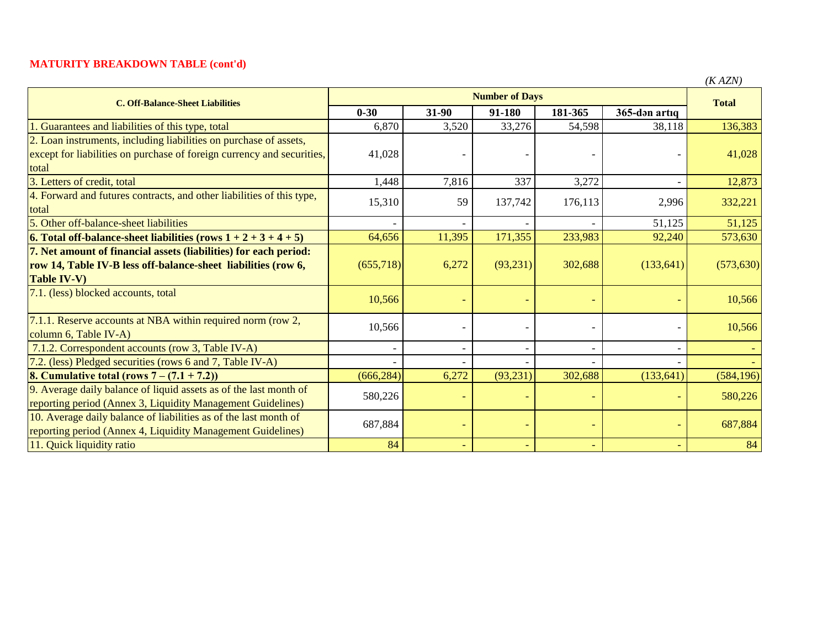## **MATURITY BREAKDOWN TABLE (cont'd)**

| <b>C. Off-Balance-Sheet Liabilities</b>                                   | <b>Number of Days</b> |                          |           |         |               | <b>Total</b> |
|---------------------------------------------------------------------------|-----------------------|--------------------------|-----------|---------|---------------|--------------|
|                                                                           | $0 - 30$              | 31-90                    | 91-180    | 181-365 | 365-dən artıq |              |
| Guarantees and liabilities of this type, total                            | 6,870                 | 3,520                    | 33,276    | 54,598  | 38,118        | 136,383      |
| 2. Loan instruments, including liabilities on purchase of assets,         |                       |                          |           |         |               |              |
| except for liabilities on purchase of foreign currency and securities,    | 41,028                |                          |           |         |               | 41,028       |
| total                                                                     |                       |                          |           |         |               |              |
| 3. Letters of credit, total                                               | 1,448                 | 7,816                    | 337       | 3,272   |               | 12,873       |
| 4. Forward and futures contracts, and other liabilities of this type,     | 15,310                | 59                       | 137,742   | 176,113 | 2,996         | 332,221      |
| total                                                                     |                       |                          |           |         |               |              |
| 5. Other off-balance-sheet liabilities                                    |                       |                          |           |         | 51,125        | 51,125       |
| <b>6.</b> Total off-balance-sheet liabilities (rows $1 + 2 + 3 + 4 + 5$ ) | 64,656                | 11,395                   | 171,355   | 233,983 | 92,240        | 573,630      |
| 7. Net amount of financial assets (liabilities) for each period:          |                       |                          |           |         |               |              |
| row 14, Table IV-B less off-balance-sheet liabilities (row 6,             | (655,718)             | 6,272                    | (93,231)  | 302,688 | (133, 641)    | (573, 630)   |
| <b>Table IV-V)</b>                                                        |                       |                          |           |         |               |              |
| 7.1. (less) blocked accounts, total                                       | 10,566                |                          |           |         |               | 10,566       |
| 7.1.1. Reserve accounts at NBA within required norm (row 2,               |                       |                          |           |         |               |              |
| column 6, Table IV-A)                                                     | 10,566                |                          |           |         |               | 10,566       |
| 7.1.2. Correspondent accounts (row 3, Table IV-A)                         |                       | $\overline{\phantom{a}}$ |           |         |               |              |
| 7.2. (less) Pledged securities (rows 6 and 7, Table IV-A)                 |                       |                          |           |         |               |              |
| <b>8. Cumulative total (rows 7 – <math>(7.1 + 7.2)</math>)</b>            | (666, 284)            | 6,272                    | (93, 231) | 302,688 | (133, 641)    | (584, 196)   |
| 9. Average daily balance of liquid assets as of the last month of         | 580,226               |                          |           |         |               | 580,226      |
| reporting period (Annex 3, Liquidity Management Guidelines)               |                       |                          |           |         |               |              |
| 10. Average daily balance of liabilities as of the last month of          | 687,884               |                          |           |         |               | 687,884      |
| reporting period (Annex 4, Liquidity Management Guidelines)               |                       |                          |           |         |               |              |
| 11. Quick liquidity ratio                                                 | 84                    | $\equiv$                 |           |         |               | 84           |